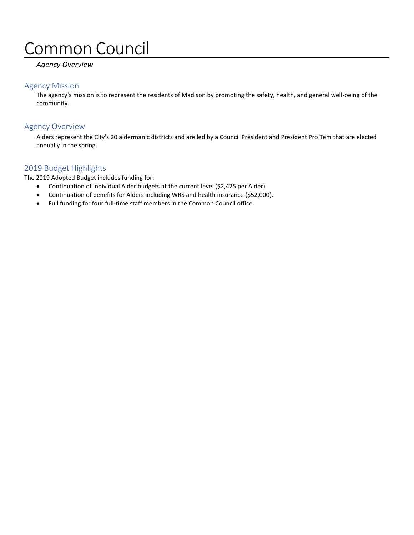# Common Council

# *Agency Overview*

# Agency Mission

The agency's mission is to represent the residents of Madison by promoting the safety, health, and general well-being of the community.

# Agency Overview

Alders represent the City's 20 aldermanic districts and are led by a Council President and President Pro Tem that are elected annually in the spring.

## 2019 Budget Highlights

The 2019 Adopted Budget includes funding for:

- Continuation of individual Alder budgets at the current level (\$2,425 per Alder).
- Continuation of benefits for Alders including WRS and health insurance (\$52,000).
- Full funding for four full-time staff members in the Common Council office.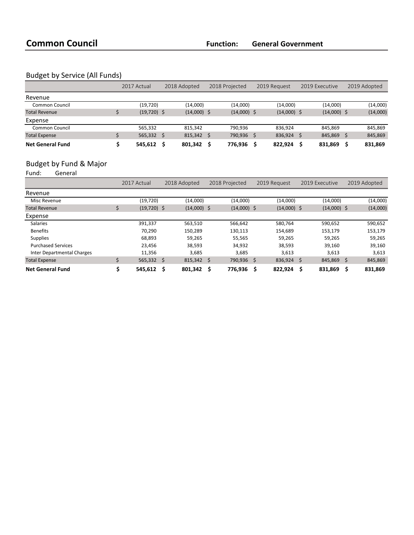# Budget by Service (All Funds)

|                         | 2017 Actual    | 2018 Adopted |                   | 2018 Projected |               | 2019 Request |               | 2019 Executive |               | 2019 Adopted |          |
|-------------------------|----------------|--------------|-------------------|----------------|---------------|--------------|---------------|----------------|---------------|--------------|----------|
| Revenue                 |                |              |                   |                |               |              |               |                |               |              |          |
| Common Council          | (19,720)       |              | (14,000)          |                | (14,000)      |              | (14,000)      |                | (14,000)      |              | (14,000) |
| <b>Total Revenue</b>    | $(19, 720)$ \$ |              | $(14,000)$ \$     |                | $(14,000)$ \$ |              | $(14,000)$ \$ |                | $(14,000)$ \$ |              | (14,000) |
| Expense                 |                |              |                   |                |               |              |               |                |               |              |          |
| Common Council          | 565,332        |              | 815.342           |                | 790.936       |              | 836.924       |                | 845.869       |              | 845,869  |
| <b>Total Expense</b>    | $565,332$ \$   |              | $815,342 \quad $$ |                | 790,936       | S            | $836,924$ \$  |                | 845,869       |              | 845,869  |
| <b>Net General Fund</b> | 545.612        | - S          | 801,342           |                | 776,936       |              | 822.924       |                | 831,869       |              | 831,869  |

# Budget by Fund & Major<br>Fund: General

General

|                            | 2017 Actual   |     | 2018 Adopted      |   | 2018 Projected |   | 2019 Request  |   | 2019 Executive |    | 2019 Adopted |  |
|----------------------------|---------------|-----|-------------------|---|----------------|---|---------------|---|----------------|----|--------------|--|
| Revenue                    |               |     |                   |   |                |   |               |   |                |    |              |  |
| Misc Revenue               | (19,720)      |     | (14,000)          |   | (14,000)       |   | (14,000)      |   | (14,000)       |    | (14,000)     |  |
| <b>Total Revenue</b>       | $(19,720)$ \$ |     | $(14,000)$ \$     |   | $(14,000)$ \$  |   | $(14,000)$ \$ |   | $(14,000)$ \$  |    | (14,000)     |  |
| Expense                    |               |     |                   |   |                |   |               |   |                |    |              |  |
| <b>Salaries</b>            | 391.337       |     | 563,510           |   | 566,642        |   | 580,764       |   | 590,652        |    | 590,652      |  |
| <b>Benefits</b>            | 70.290        |     | 150.289           |   | 130,113        |   | 154.689       |   | 153.179        |    | 153,179      |  |
| <b>Supplies</b>            | 68.893        |     | 59.265            |   | 55,565         |   | 59.265        |   | 59,265         |    | 59,265       |  |
| <b>Purchased Services</b>  | 23,456        |     | 38,593            |   | 34,932         |   | 38,593        |   | 39,160         |    | 39,160       |  |
| Inter Departmental Charges | 11,356        |     | 3,685             |   | 3,685          |   | 3,613         |   | 3,613          |    | 3,613        |  |
| <b>Total Expense</b>       | $565,332$ \$  |     | $815,342 \quad $$ |   | 790,936        | Ŝ | $836,924$ \$  |   | 845,869        | \$ | 845,869      |  |
| <b>Net General Fund</b>    | 545,612       | - S | 801,342           | Ŝ | 776,936        | S | 822,924       | S | 831,869        | S  | 831,869      |  |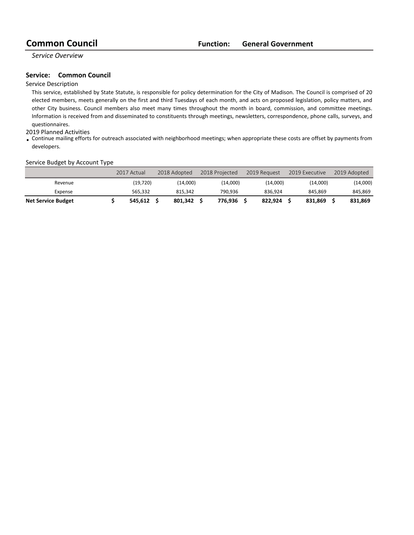*Service Overview*

### **Service:** Common Council

### Service Description

This service, established by State Statute, is responsible for policy determination for the City of Madison. The Council is comprised of 20 elected members, meets generally on the first and third Tuesdays of each month, and acts on proposed legislation, policy matters, and other City business. Council members also meet many times throughout the month in board, commission, and committee meetings. Information is received from and disseminated to constituents through meetings, newsletters, correspondence, phone calls, surveys, and questionnaires.

#### 2019 Planned Activities

• Continue mailing efforts for outreach associated with neighborhood meetings; when appropriate these costs are offset by payments from developers.

#### Service Budget by Account Type

|                           | 2017 Actual | 2018 Adopted | 2018 Projected | 2019 Request | 2019 Executive | 2019 Adopted |
|---------------------------|-------------|--------------|----------------|--------------|----------------|--------------|
| Revenue                   | (19,720)    | (14.000)     | (14,000)       | (14,000)     | (14,000)       | (14,000)     |
| Expense                   | 565.332     | 815.342      | 790.936        | 836.924      | 845.869        | 845.869      |
| <b>Net Service Budget</b> | 545.612     | 801.342      | 776.936        | 822.924      | 831.869        | 831.869      |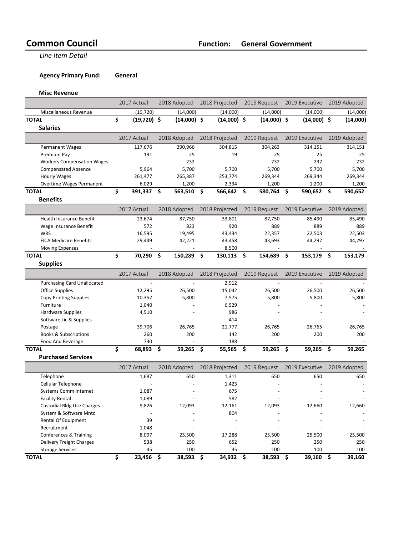**Line Item Detail** 

## **Agency Primary Fund: General**

**Misc Revenue**

|                                    | 2017 Actual         |              | 2018 Adopted   | 2018 Projected |      | 2019 Request   | 2019 Executive |     | 2019 Adopted |
|------------------------------------|---------------------|--------------|----------------|----------------|------|----------------|----------------|-----|--------------|
| Miscellaneous Revenue              | (19, 720)           |              | (14,000)       | (14,000)       |      | (14,000)       | (14,000)       |     | (14,000)     |
| <b>TOTAL</b>                       | \$<br>$(19,720)$ \$ |              | $(14,000)$ \$  | $(14,000)$ \$  |      | $(14,000)$ \$  | $(14,000)$ \$  |     | (14,000)     |
| <b>Salaries</b>                    |                     |              |                |                |      |                |                |     |              |
|                                    | 2017 Actual         | 2018 Adopted |                | 2018 Projected |      | 2019 Request   | 2019 Executive |     | 2019 Adopted |
| <b>Permanent Wages</b>             | 117,676             |              | 290,966        | 304,815        |      | 304,263        | 314,151        |     | 314,151      |
| Premium Pay                        | 191                 |              | 25             | 19             |      | 25             | 25             |     | 25           |
| <b>Workers Compensation Wages</b>  |                     |              | 232            |                |      | 232            | 232            |     | 232          |
| <b>Compensated Absence</b>         | 5,964               |              | 5,700          | 5,700          |      | 5,700          | 5,700          |     | 5,700        |
| <b>Hourly Wages</b>                | 261,477             |              | 265,387        | 253,774        |      | 269,344        | 269,344        |     | 269,344      |
| Overtime Wages Permanent           | 6,029               |              | 1,200          | 2,334          |      | 1,200          | 1,200          |     | 1,200        |
| <b>TOTAL</b>                       | \$<br>391,337       | \$           | 563,510        | \$<br>566,642  | -\$  | 580,764        | \$<br>590,652  | \$  | 590,652      |
| <b>Benefits</b>                    |                     |              |                |                |      |                |                |     |              |
|                                    | 2017 Actual         |              | 2018 Adopted   | 2018 Projected |      | 2019 Request   | 2019 Executive |     | 2019 Adopted |
| <b>Health Insurance Benefit</b>    | 23,674              |              | 87,750         | 33,801         |      | 87,750         | 85,490         |     | 85,490       |
| Wage Insurance Benefit             | 572                 |              | 823            | 920            |      | 889            | 889            |     | 889          |
| <b>WRS</b>                         | 16,595              |              | 19,495         | 43,434         |      | 22,357         | 22,503         |     | 22,503       |
| <b>FICA Medicare Benefits</b>      | 29,449              |              | 42,221         | 43,458         |      | 43,693         | 44,297         |     | 44,297       |
| <b>Moving Expenses</b>             |                     |              | $\overline{a}$ | 8,500          |      | $\blacksquare$ | ÷,             |     |              |
| <b>TOTAL</b>                       | \$<br>70,290        | \$           | 150,289 \$     | 130,113        | - \$ | 154,689        | \$<br>153,179  | -\$ | 153,179      |
| <b>Supplies</b>                    |                     |              |                |                |      |                |                |     |              |
|                                    | 2017 Actual         |              | 2018 Adopted   | 2018 Projected |      | 2019 Request   | 2019 Executive |     | 2019 Adopted |
| <b>Purchasing Card Unallocated</b> |                     |              |                | 2,912          |      |                |                |     |              |
| Office Supplies                    | 12,295              |              | 26,500         | 15,042         |      | 26,500         | 26,500         |     | 26,500       |
| <b>Copy Printing Supplies</b>      | 10,352              |              | 5,800          | 7,575          |      | 5,800          | 5,800          |     | 5,800        |
| Furniture                          | 1,040               |              |                | 6,529          |      |                |                |     |              |
| <b>Hardware Supplies</b>           | 4,510               |              |                | 986            |      |                |                |     |              |
| Software Lic & Supplies            |                     |              |                | 414            |      |                |                |     |              |
| Postage                            | 39,706              |              | 26,765         | 21,777         |      | 26,765         | 26,765         |     | 26,765       |
| <b>Books &amp; Subscriptions</b>   | 260                 |              | 200            | 142            |      | 200            | 200            |     | 200          |
| Food And Beverage                  | 730                 |              |                | 188            |      |                |                |     |              |
| <b>TOTAL</b>                       | \$<br>68,893        | \$           | 59,265         | \$<br>55,565   | \$   | 59,265         | \$<br>59,265   | \$  | 59,265       |
| <b>Purchased Services</b>          |                     |              |                |                |      |                |                |     |              |
|                                    | 2017 Actual         |              | 2018 Adopted   | 2018 Projected |      | 2019 Request   | 2019 Executive |     | 2019 Adopted |
| Telephone                          | 1,687               |              | 650            | 1,311          |      | 650            | 650            |     | 650          |
| Cellular Telephone                 |                     |              |                | 1,423          |      |                |                |     |              |
| Systems Comm Internet              | 1,087               |              |                | 675            |      |                |                |     |              |
| <b>Facility Rental</b>             | 1,089               |              |                | 582            |      |                |                |     |              |
| <b>Custodial Bldg Use Charges</b>  | 9,826               |              | 12,093         | 12,161         |      | 12,093         | 12,660         |     | 12,660       |
| System & Software Mntc             |                     |              |                | 804            |      |                |                |     |              |
| Rental Of Equipment                | 39                  |              |                |                |      |                |                |     |              |
| Recruitment                        | 1,048               |              |                |                |      |                |                |     |              |
| Conferences & Training             | 8,097               |              | 25,500         | 17,288         |      | 25,500         | 25,500         |     | 25,500       |
| Delivery Freight Charges           | 538                 |              | 250            | 652            |      | 250            | 250            |     | 250          |
| <b>Storage Services</b>            | 45                  |              | 100            | 35             |      | 100            | 100            |     | 100          |
| <b>TOTAL</b>                       | \$<br>23,456 \$     |              | 38,593 \$      | 34,932 \$      |      | 38,593 \$      | 39,160         | \$  | 39,160       |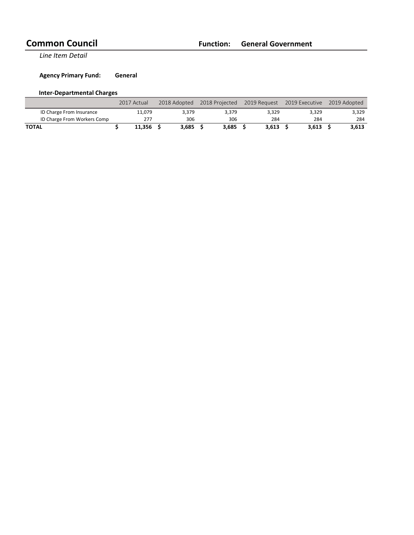**Line Item Detail** 

**Agency Primary Fund: General** 

# **Inter-Departmental Charges**

|                             | 2017 Actual | 2018 Adopted | 2018 Projected     |       | 2019 Request 2019 Executive | 2019 Adopted |
|-----------------------------|-------------|--------------|--------------------|-------|-----------------------------|--------------|
| ID Charge From Insurance    | 11.079      | 3.379        | 3.379              | 3.329 | 3.329                       | 3,329        |
| ID Charge From Workers Comp | 277         | 306          | 306                | 284   | 284                         | 284          |
| <b>TOTAL</b>                | 11.356      | $3.685$ \$   | 3.685 <sub>5</sub> | 3.613 | 3.613                       | 3.613        |